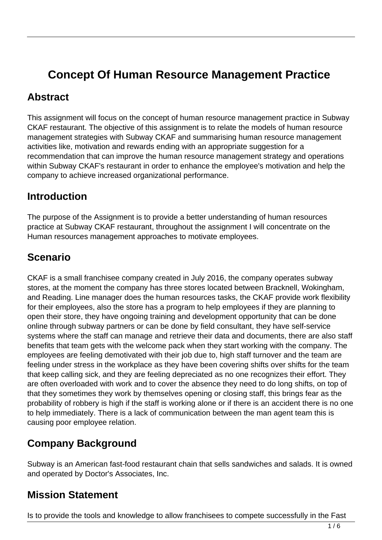# **Concept Of Human Resource Management Practice**

#### **Abstract**

This assignment will focus on the concept of human resource management practice in Subway CKAF restaurant. The objective of this assignment is to relate the models of human resource management strategies with Subway CKAF and summarising human resource management activities like, motivation and rewards ending with an appropriate suggestion for a recommendation that can improve the human resource management strategy and operations within Subway CKAF's restaurant in order to enhance the employee's motivation and help the company to achieve increased organizational performance.

#### **Introduction**

The purpose of the Assignment is to provide a better understanding of human resources practice at Subway CKAF restaurant, throughout the assignment I will concentrate on the Human resources management approaches to motivate employees.

### **Scenario**

CKAF is a small franchisee company created in July 2016, the company operates subway stores, at the moment the company has three stores located between Bracknell, Wokingham, and Reading. Line manager does the human resources tasks, the CKAF provide work flexibility for their employees, also the store has a program to help employees if they are planning to open their store, they have ongoing training and development opportunity that can be done online through subway partners or can be done by field consultant, they have self-service systems where the staff can manage and retrieve their data and documents, there are also staff benefits that team gets with the welcome pack when they start working with the company. The employees are feeling demotivated with their job due to, high staff turnover and the team are feeling under stress in the workplace as they have been covering shifts over shifts for the team that keep calling sick, and they are feeling depreciated as no one recognizes their effort. They are often overloaded with work and to cover the absence they need to do long shifts, on top of that they sometimes they work by themselves opening or closing staff, this brings fear as the probability of robbery is high if the staff is working alone or if there is an accident there is no one to help immediately. There is a lack of communication between the man agent team this is causing poor employee relation.

#### **Company Background**

Subway is an American fast-food restaurant chain that sells sandwiches and salads. It is owned and operated by Doctor's Associates, Inc.

### **Mission Statement**

Is to provide the tools and knowledge to allow franchisees to compete successfully in the Fast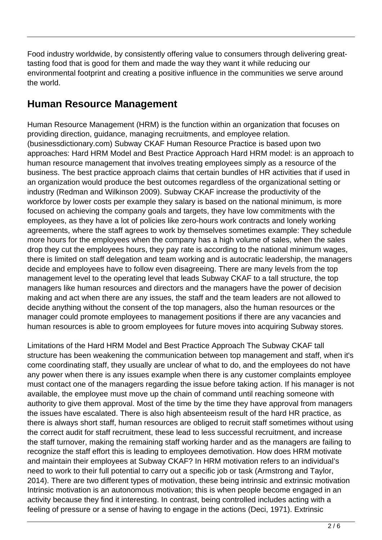Food industry worldwide, by consistently offering value to consumers through delivering greattasting food that is good for them and made the way they want it while reducing our environmental footprint and creating a positive influence in the communities we serve around the world.

### **Human Resource Management**

Human Resource Management (HRM) is the function within an organization that focuses on providing direction, guidance, managing recruitments, and employee relation. (businessdictionary.com) Subway CKAF Human Resource Practice is based upon two approaches: Hard HRM Model and Best Practice Approach Hard HRM model: is an approach to human resource management that involves treating employees simply as a resource of the business. The best practice approach claims that certain bundles of HR activities that if used in an organization would produce the best outcomes regardless of the organizational setting or industry (Redman and Wilkinson 2009). Subway CKAF increase the productivity of the workforce by lower costs per example they salary is based on the national minimum, is more focused on achieving the company goals and targets, they have low commitments with the employees, as they have a lot of policies like zero-hours work contracts and lonely working agreements, where the staff agrees to work by themselves sometimes example: They schedule more hours for the employees when the company has a high volume of sales, when the sales drop they cut the employees hours, they pay rate is according to the national minimum wages, there is limited on staff delegation and team working and is autocratic leadership, the managers decide and employees have to follow even disagreeing. There are many levels from the top management level to the operating level that leads Subway CKAF to a tall structure, the top managers like human resources and directors and the managers have the power of decision making and act when there are any issues, the staff and the team leaders are not allowed to decide anything without the consent of the top managers, also the human resources or the manager could promote employees to management positions if there are any vacancies and human resources is able to groom employees for future moves into acquiring Subway stores.

Limitations of the Hard HRM Model and Best Practice Approach The Subway CKAF tall structure has been weakening the communication between top management and staff, when it's come coordinating staff, they usually are unclear of what to do, and the employees do not have any power when there is any issues example when there is any customer complaints employee must contact one of the managers regarding the issue before taking action. If his manager is not available, the employee must move up the chain of command until reaching someone with authority to give them approval. Most of the time by the time they have approval from managers the issues have escalated. There is also high absenteeism result of the hard HR practice, as there is always short staff, human resources are obliged to recruit staff sometimes without using the correct audit for staff recruitment, these lead to less successful recruitment, and increase the staff turnover, making the remaining staff working harder and as the managers are failing to recognize the staff effort this is leading to employees demotivation. How does HRM motivate and maintain their employees at Subway CKAF? In HRM motivation refers to an individual's need to work to their full potential to carry out a specific job or task (Armstrong and Taylor, 2014). There are two different types of motivation, these being intrinsic and extrinsic motivation Intrinsic motivation is an autonomous motivation; this is when people become engaged in an activity because they find it interesting. In contrast, being controlled includes acting with a feeling of pressure or a sense of having to engage in the actions (Deci, 1971). Extrinsic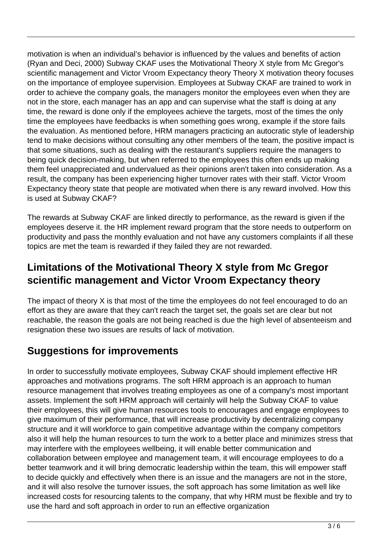motivation is when an individual's behavior is influenced by the values and benefits of action (Ryan and Deci, 2000) Subway CKAF uses the Motivational Theory X style from Mc Gregor's scientific management and Victor Vroom Expectancy theory Theory X motivation theory focuses on the importance of employee supervision. Employees at Subway CKAF are trained to work in order to achieve the company goals, the managers monitor the employees even when they are not in the store, each manager has an app and can supervise what the staff is doing at any time, the reward is done only if the employees achieve the targets, most of the times the only time the employees have feedbacks is when something goes wrong, example if the store fails the evaluation. As mentioned before, HRM managers practicing an autocratic style of leadership tend to make decisions without consulting any other members of the team, the positive impact is that some situations, such as dealing with the restaurant's suppliers require the managers to being quick decision-making, but when referred to the employees this often ends up making them feel unappreciated and undervalued as their opinions aren't taken into consideration. As a result, the company has been experiencing higher turnover rates with their staff. Victor Vroom Expectancy theory state that people are motivated when there is any reward involved. How this is used at Subway CKAF?

The rewards at Subway CKAF are linked directly to performance, as the reward is given if the employees deserve it. the HR implement reward program that the store needs to outperform on productivity and pass the monthly evaluation and not have any customers complaints if all these topics are met the team is rewarded if they failed they are not rewarded.

### **Limitations of the Motivational Theory X style from Mc Gregor scientific management and Victor Vroom Expectancy theory**

The impact of theory X is that most of the time the employees do not feel encouraged to do an effort as they are aware that they can't reach the target set, the goals set are clear but not reachable, the reason the goals are not being reached is due the high level of absenteeism and resignation these two issues are results of lack of motivation.

### **Suggestions for improvements**

In order to successfully motivate employees, Subway CKAF should implement effective HR approaches and motivations programs. The soft HRM approach is an approach to human resource management that involves treating employees as one of a company's most important assets. Implement the soft HRM approach will certainly will help the Subway CKAF to value their employees, this will give human resources tools to encourages and engage employees to give maximum of their performance, that will increase productivity by decentralizing company structure and it will workforce to gain competitive advantage within the company competitors also it will help the human resources to turn the work to a better place and minimizes stress that may interfere with the employees wellbeing, it will enable better communication and collaboration between employee and management team, it will encourage employees to do a better teamwork and it will bring democratic leadership within the team, this will empower staff to decide quickly and effectively when there is an issue and the managers are not in the store, and it will also resolve the turnover issues, the soft approach has some limitation as well like increased costs for resourcing talents to the company, that why HRM must be flexible and try to use the hard and soft approach in order to run an effective organization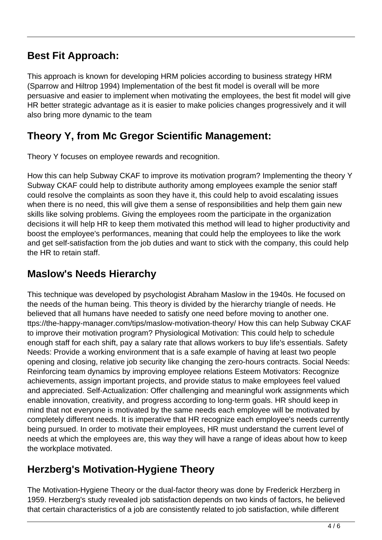### **Best Fit Approach:**

This approach is known for developing HRM policies according to business strategy HRM (Sparrow and Hiltrop 1994) Implementation of the best fit model is overall will be more persuasive and easier to implement when motivating the employees, the best fit model will give HR better strategic advantage as it is easier to make policies changes progressively and it will also bring more dynamic to the team

### **Theory Y, from Mc Gregor Scientific Management:**

Theory Y focuses on employee rewards and recognition.

How this can help Subway CKAF to improve its motivation program? Implementing the theory Y Subway CKAF could help to distribute authority among employees example the senior staff could resolve the complaints as soon they have it, this could help to avoid escalating issues when there is no need, this will give them a sense of responsibilities and help them gain new skills like solving problems. Giving the employees room the participate in the organization decisions it will help HR to keep them motivated this method will lead to higher productivity and boost the employee's performances, meaning that could help the employees to like the work and get self-satisfaction from the job duties and want to stick with the company, this could help the HR to retain staff.

### **Maslow's Needs Hierarchy**

This technique was developed by psychologist Abraham Maslow in the 1940s. He focused on the needs of the human being. This theory is divided by the hierarchy triangle of needs. He believed that all humans have needed to satisfy one need before moving to another one. ttps://the-happy-manager.com/tips/maslow-motivation-theory/ How this can help Subway CKAF to improve their motivation program? Physiological Motivation: This could help to schedule enough staff for each shift, pay a salary rate that allows workers to buy life's essentials. Safety Needs: Provide a working environment that is a safe example of having at least two people opening and closing, relative job security like changing the zero-hours contracts. Social Needs: Reinforcing team dynamics by improving employee relations Esteem Motivators: Recognize achievements, assign important projects, and provide status to make employees feel valued and appreciated. Self-Actualization: Offer challenging and meaningful work assignments which enable innovation, creativity, and progress according to long-term goals. HR should keep in mind that not everyone is motivated by the same needs each employee will be motivated by completely different needs. It is imperative that HR recognize each employee's needs currently being pursued. In order to motivate their employees, HR must understand the current level of needs at which the employees are, this way they will have a range of ideas about how to keep the workplace motivated.

## **Herzberg's Motivation-Hygiene Theory**

The Motivation-Hygiene Theory or the dual-factor theory was done by Frederick Herzberg in 1959. Herzberg's study revealed job satisfaction depends on two kinds of factors, he believed that certain characteristics of a job are consistently related to job satisfaction, while different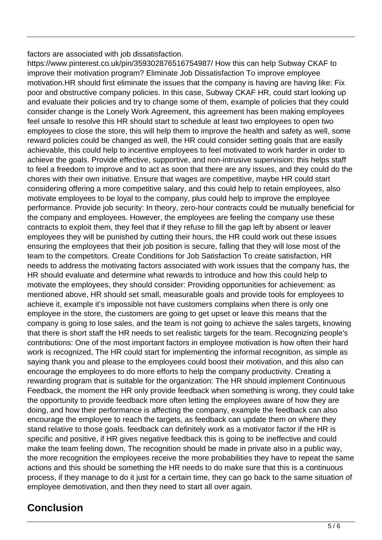factors are associated with job dissatisfaction.

https://www.pinterest.co.uk/pin/359302876516754987/ How this can help Subway CKAF to improve their motivation program? Eliminate Job Dissatisfaction To improve employee motivation.HR should first eliminate the issues that the company is having are having like: Fix poor and obstructive company policies. In this case, Subway CKAF HR, could start looking up and evaluate their policies and try to change some of them, example of policies that they could consider change is the Lonely Work Agreement, this agreement has been making employees feel unsafe to resolve this HR should start to schedule at least two employees to open two employees to close the store, this will help them to improve the health and safety as well, some reward policies could be changed as well, the HR could consider setting goals that are easily achievable, this could help to incentive employees to feel motivated to work harder in order to achieve the goals. Provide effective, supportive, and non-intrusive supervision: this helps staff to feel a freedom to improve and to act as soon that there are any issues, and they could do the chores with their own initiative. Ensure that wages are competitive, maybe HR could start considering offering a more competitive salary, and this could help to retain employees, also motivate employees to be loyal to the company, plus could help to improve the employee performance. Provide job security: In theory, zero-hour contracts could be mutually beneficial for the company and employees. However, the employees are feeling the company use these contracts to exploit them, they feel that if they refuse to fill the gap left by absent or leaver employees they will be punished by cutting their hours, the HR could work out these issues ensuring the employees that their job position is secure, falling that they will lose most of the team to the competitors. Create Conditions for Job Satisfaction To create satisfaction, HR needs to address the motivating factors associated with work issues that the company has, the HR should evaluate and determine what rewards to introduce and how this could help to motivate the employees, they should consider: Providing opportunities for achievement: as mentioned above, HR should set small, measurable goals and provide tools for employees to achieve it, example it's impossible not have customers complains when there is only one employee in the store, the customers are going to get upset or leave this means that the company is going to lose sales, and the team is not going to achieve the sales targets, knowing that there is short staff the HR needs to set realistic targets for the team. Recognizing people's contributions: One of the most important factors in employee motivation is how often their hard work is recognized, The HR could start for implementing the informal recognition, as simple as saying thank you and please to the employees could boost their motivation, and this also can encourage the employees to do more efforts to help the company productivity. Creating a rewarding program that is suitable for the organization: The HR should implement Continuous Feedback, the moment the HR only provide feedback when something is wrong, they could take the opportunity to provide feedback more often letting the employees aware of how they are doing, and how their performance is affecting the company, example the feedback can also encourage the employee to reach the targets, as feedback can update them on where they stand relative to those goals. feedback can definitely work as a motivator factor if the HR is specific and positive, if HR gives negative feedback this is going to be ineffective and could make the team feeling down, The recognition should be made in private also in a public way, the more recognition the employees receive the more probabilities they have to repeat the same actions and this should be something the HR needs to do make sure that this is a continuous process, if they manage to do it just for a certain time, they can go back to the same situation of employee demotivation, and then they need to start all over again.

#### **Conclusion**